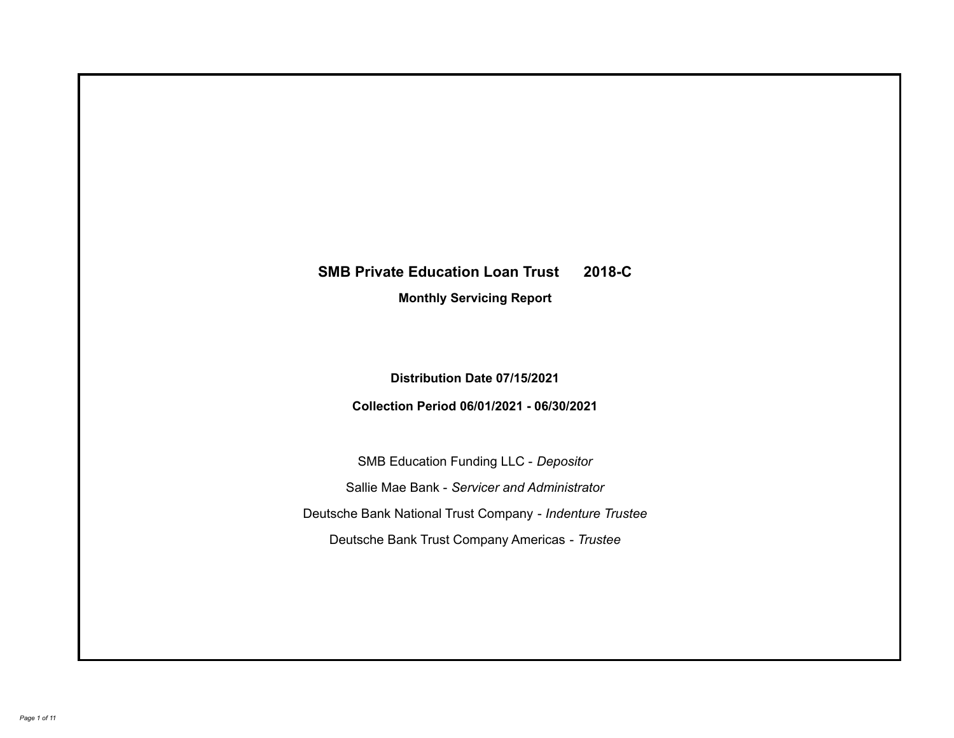# **SMB Private Education Loan Trust 2018-C**

**Monthly Servicing Report**

**Distribution Date 07/15/2021**

**Collection Period 06/01/2021 - 06/30/2021**

SMB Education Funding LLC - *Depositor* Sallie Mae Bank - *Servicer and Administrator* Deutsche Bank National Trust Company - *Indenture Trustee* Deutsche Bank Trust Company Americas - *Trustee*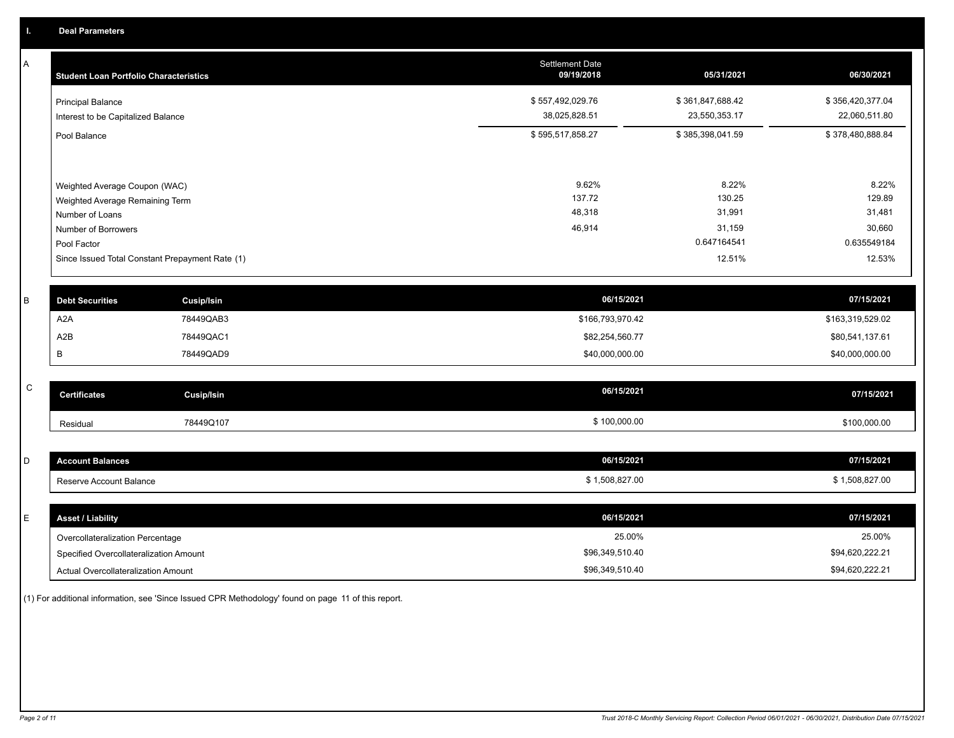A

| A | <b>Student Loan Portfolio Characteristics</b>                  |                   | <b>Settlement Date</b><br>09/19/2018 | 05/31/2021            | 06/30/2021            |
|---|----------------------------------------------------------------|-------------------|--------------------------------------|-----------------------|-----------------------|
|   | <b>Principal Balance</b>                                       |                   | \$557,492,029.76                     | \$361,847,688.42      | \$356,420,377.04      |
|   | Interest to be Capitalized Balance                             |                   | 38,025,828.51                        | 23,550,353.17         | 22,060,511.80         |
|   | Pool Balance                                                   |                   | \$595,517,858.27                     | \$385,398,041.59      | \$378,480,888.84      |
|   |                                                                |                   |                                      |                       |                       |
|   | Weighted Average Coupon (WAC)                                  |                   | 9.62%                                | 8.22%                 | 8.22%                 |
|   | Weighted Average Remaining Term                                |                   | 137.72<br>48,318                     | 130.25<br>31,991      | 129.89<br>31,481      |
|   | Number of Loans                                                |                   |                                      |                       |                       |
|   | Number of Borrowers                                            |                   | 46,914                               | 31,159<br>0.647164541 | 30,660<br>0.635549184 |
|   | Pool Factor<br>Since Issued Total Constant Prepayment Rate (1) |                   |                                      | 12.51%                | 12.53%                |
|   |                                                                |                   |                                      |                       |                       |
|   |                                                                |                   |                                      |                       |                       |
| B | <b>Debt Securities</b>                                         | <b>Cusip/Isin</b> | 06/15/2021                           |                       | 07/15/2021            |
|   | A <sub>2</sub> A                                               | 78449QAB3         | \$166,793,970.42                     |                       | \$163,319,529.02      |
|   | A2B                                                            | 78449QAC1         | \$82,254,560.77                      |                       | \$80,541,137.61       |
|   | В                                                              | 78449QAD9         | \$40,000,000.00                      |                       | \$40,000,000.00       |
|   |                                                                |                   |                                      |                       |                       |
| C | <b>Certificates</b>                                            | <b>Cusip/Isin</b> | 06/15/2021                           |                       | 07/15/2021            |
|   | Residual                                                       | 78449Q107         | \$100,000.00                         |                       | \$100,000.00          |
|   |                                                                |                   |                                      |                       |                       |
| D | <b>Account Balances</b>                                        |                   | 06/15/2021                           |                       | 07/15/2021            |
|   | Reserve Account Balance                                        |                   | \$1,508,827.00                       |                       | \$1,508,827.00        |
|   |                                                                |                   |                                      |                       |                       |
| E | <b>Asset / Liability</b>                                       |                   | 06/15/2021                           |                       | 07/15/2021            |
|   | Overcollateralization Percentage                               |                   | 25.00%                               |                       | 25.00%                |

Overcollateralization Percentage Actual Overcollateralization Amount \$96,349,510.40 Specified Overcollateralization Amount

(1) For additional information, see 'Since Issued CPR Methodology' found on page 11 of this report.

\$94,620,222.21 \$94,620,222.21

\$96,349,510.40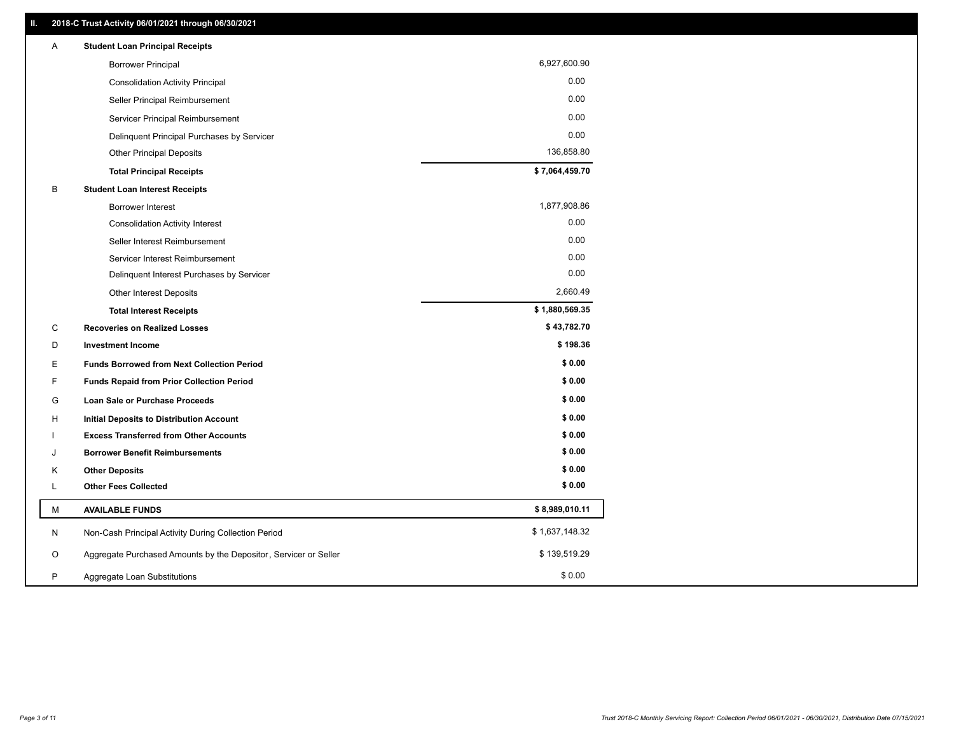| Α  | <b>Student Loan Principal Receipts</b>                           |                |
|----|------------------------------------------------------------------|----------------|
|    | <b>Borrower Principal</b>                                        | 6,927,600.90   |
|    | <b>Consolidation Activity Principal</b>                          | 0.00           |
|    | Seller Principal Reimbursement                                   | 0.00           |
|    | Servicer Principal Reimbursement                                 | 0.00           |
|    | Delinquent Principal Purchases by Servicer                       | 0.00           |
|    | <b>Other Principal Deposits</b>                                  | 136,858.80     |
|    | <b>Total Principal Receipts</b>                                  | \$7,064,459.70 |
| В  | <b>Student Loan Interest Receipts</b>                            |                |
|    | <b>Borrower Interest</b>                                         | 1,877,908.86   |
|    | <b>Consolidation Activity Interest</b>                           | 0.00           |
|    | Seller Interest Reimbursement                                    | 0.00           |
|    | Servicer Interest Reimbursement                                  | 0.00           |
|    | Delinquent Interest Purchases by Servicer                        | 0.00           |
|    | Other Interest Deposits                                          | 2,660.49       |
|    | <b>Total Interest Receipts</b>                                   | \$1,880,569.35 |
| C  | <b>Recoveries on Realized Losses</b>                             | \$43,782.70    |
| D  | <b>Investment Income</b>                                         | \$198.36       |
| Ε  | <b>Funds Borrowed from Next Collection Period</b>                | \$0.00         |
| F. | <b>Funds Repaid from Prior Collection Period</b>                 | \$0.00         |
| G  | Loan Sale or Purchase Proceeds                                   | \$0.00         |
| H  | Initial Deposits to Distribution Account                         | \$0.00         |
|    | <b>Excess Transferred from Other Accounts</b>                    | \$0.00         |
| J  | <b>Borrower Benefit Reimbursements</b>                           | \$0.00         |
| Κ  | <b>Other Deposits</b>                                            | \$0.00         |
| Г  | <b>Other Fees Collected</b>                                      | \$0.00         |
| М  | <b>AVAILABLE FUNDS</b>                                           | \$8,989,010.11 |
| N  | Non-Cash Principal Activity During Collection Period             | \$1,637,148.32 |
| O  | Aggregate Purchased Amounts by the Depositor, Servicer or Seller | \$139,519.29   |
| P  | Aggregate Loan Substitutions                                     | \$0.00         |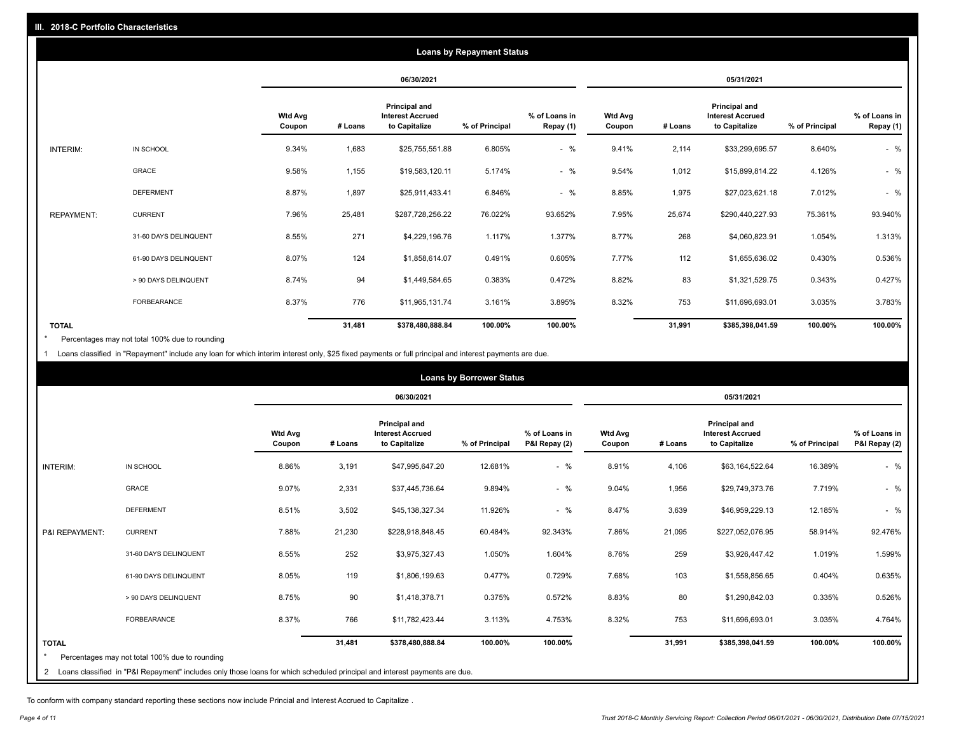|                   | <b>Loans by Repayment Status</b> |                          |            |                                                           |                |                            |                   |         |                                                           |                |                            |
|-------------------|----------------------------------|--------------------------|------------|-----------------------------------------------------------|----------------|----------------------------|-------------------|---------|-----------------------------------------------------------|----------------|----------------------------|
|                   |                                  |                          | 06/30/2021 |                                                           |                |                            | 05/31/2021        |         |                                                           |                |                            |
|                   |                                  | <b>Wtd Avg</b><br>Coupon | # Loans    | Principal and<br><b>Interest Accrued</b><br>to Capitalize | % of Principal | % of Loans in<br>Repay (1) | Wtd Avg<br>Coupon | # Loans | Principal and<br><b>Interest Accrued</b><br>to Capitalize | % of Principal | % of Loans in<br>Repay (1) |
| INTERIM:          | IN SCHOOL                        | 9.34%                    | 1,683      | \$25,755,551.88                                           | 6.805%         | $-$ %                      | 9.41%             | 2,114   | \$33,299,695.57                                           | 8.640%         | $-$ %                      |
|                   | GRACE                            | 9.58%                    | 1,155      | \$19,583,120.11                                           | 5.174%         | $-$ %                      | 9.54%             | 1,012   | \$15,899,814.22                                           | 4.126%         | $-$ %                      |
|                   | <b>DEFERMENT</b>                 | 8.87%                    | 1,897      | \$25,911,433.41                                           | 6.846%         | $-$ %                      | 8.85%             | 1,975   | \$27,023,621.18                                           | 7.012%         | $-$ %                      |
| <b>REPAYMENT:</b> | <b>CURRENT</b>                   | 7.96%                    | 25,481     | \$287,728,256.22                                          | 76.022%        | 93.652%                    | 7.95%             | 25,674  | \$290,440,227.93                                          | 75.361%        | 93.940%                    |
|                   | 31-60 DAYS DELINQUENT            | 8.55%                    | 271        | \$4,229,196.76                                            | 1.117%         | 1.377%                     | 8.77%             | 268     | \$4,060,823.91                                            | 1.054%         | 1.313%                     |
|                   | 61-90 DAYS DELINQUENT            | 8.07%                    | 124        | \$1,858,614.07                                            | 0.491%         | 0.605%                     | 7.77%             | 112     | \$1,655,636.02                                            | 0.430%         | 0.536%                     |
|                   | > 90 DAYS DELINQUENT             | 8.74%                    | 94         | \$1,449,584.65                                            | 0.383%         | 0.472%                     | 8.82%             | 83      | \$1,321,529.75                                            | 0.343%         | 0.427%                     |
|                   | <b>FORBEARANCE</b>               | 8.37%                    | 776        | \$11,965,131.74                                           | 3.161%         | 3.895%                     | 8.32%             | 753     | \$11,696,693.01                                           | 3.035%         | 3.783%                     |
| <b>TOTAL</b>      |                                  |                          | 31,481     | \$378,480,888.84                                          | 100.00%        | 100.00%                    |                   | 31,991  | \$385,398,041.59                                          | 100.00%        | 100.00%                    |

Percentages may not total 100% due to rounding  $\pmb{\ast}$ 

1 Loans classified in "Repayment" include any loan for which interim interest only, \$25 fixed payments or full principal and interest payments are due.

|                | <b>Loans by Borrower Status</b>                                                                                              |                          |         |                                                                  |                |                                |                          |         |                                                           |                |                                |
|----------------|------------------------------------------------------------------------------------------------------------------------------|--------------------------|---------|------------------------------------------------------------------|----------------|--------------------------------|--------------------------|---------|-----------------------------------------------------------|----------------|--------------------------------|
|                |                                                                                                                              |                          |         | 06/30/2021                                                       |                |                                |                          |         | 05/31/2021                                                |                |                                |
|                |                                                                                                                              | <b>Wtd Avg</b><br>Coupon | # Loans | <b>Principal and</b><br><b>Interest Accrued</b><br>to Capitalize | % of Principal | % of Loans in<br>P&I Repay (2) | <b>Wtd Avg</b><br>Coupon | # Loans | Principal and<br><b>Interest Accrued</b><br>to Capitalize | % of Principal | % of Loans in<br>P&I Repay (2) |
| INTERIM:       | IN SCHOOL                                                                                                                    | 8.86%                    | 3,191   | \$47,995,647.20                                                  | 12.681%        | $-$ %                          | 8.91%                    | 4,106   | \$63,164,522.64                                           | 16.389%        | $-$ %                          |
|                | GRACE                                                                                                                        | 9.07%                    | 2,331   | \$37,445,736.64                                                  | 9.894%         | $-$ %                          | 9.04%                    | 1,956   | \$29,749,373.76                                           | 7.719%         | $-$ %                          |
|                | <b>DEFERMENT</b>                                                                                                             | 8.51%                    | 3,502   | \$45,138,327.34                                                  | 11.926%        | $-$ %                          | 8.47%                    | 3,639   | \$46,959,229.13                                           | 12.185%        | $-$ %                          |
| P&I REPAYMENT: | <b>CURRENT</b>                                                                                                               | 7.88%                    | 21,230  | \$228,918,848.45                                                 | 60.484%        | 92.343%                        | 7.86%                    | 21,095  | \$227,052,076.95                                          | 58.914%        | 92.476%                        |
|                | 31-60 DAYS DELINQUENT                                                                                                        | 8.55%                    | 252     | \$3,975,327.43                                                   | 1.050%         | 1.604%                         | 8.76%                    | 259     | \$3,926,447.42                                            | 1.019%         | 1.599%                         |
|                | 61-90 DAYS DELINQUENT                                                                                                        | 8.05%                    | 119     | \$1,806,199.63                                                   | 0.477%         | 0.729%                         | 7.68%                    | 103     | \$1,558,856.65                                            | 0.404%         | 0.635%                         |
|                | > 90 DAYS DELINQUENT                                                                                                         | 8.75%                    | 90      | \$1,418,378.71                                                   | 0.375%         | 0.572%                         | 8.83%                    | 80      | \$1,290,842.03                                            | 0.335%         | 0.526%                         |
|                | <b>FORBEARANCE</b>                                                                                                           | 8.37%                    | 766     | \$11,782,423.44                                                  | 3.113%         | 4.753%                         | 8.32%                    | 753     | \$11,696,693.01                                           | 3.035%         | 4.764%                         |
| <b>TOTAL</b>   | Percentages may not total 100% due to rounding                                                                               |                          | 31,481  | \$378,480,888.84                                                 | 100.00%        | 100.00%                        |                          | 31,991  | \$385,398,041.59                                          | 100.00%        | 100.00%                        |
|                | 2 Loans classified in "P&I Repayment" includes only those loans for which scheduled principal and interest payments are due. |                          |         |                                                                  |                |                                |                          |         |                                                           |                |                                |

To conform with company standard reporting these sections now include Princial and Interest Accrued to Capitalize .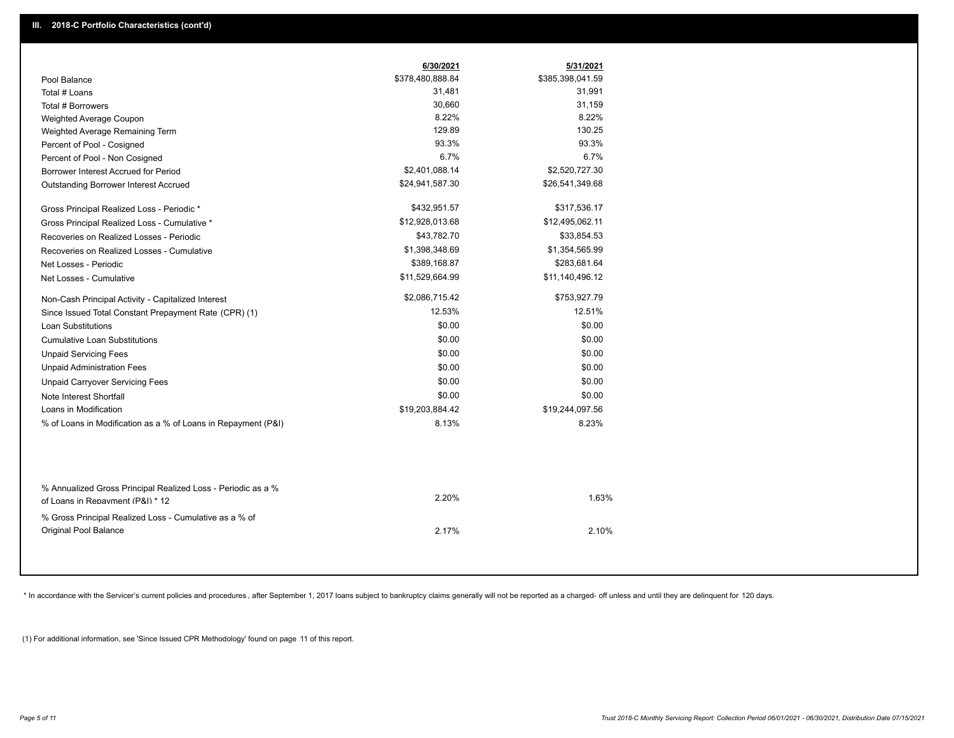|                                                                                                  | 6/30/2021        | 5/31/2021        |
|--------------------------------------------------------------------------------------------------|------------------|------------------|
| Pool Balance                                                                                     | \$378,480,888.84 | \$385,398,041.59 |
| Total # Loans                                                                                    | 31,481           | 31,991           |
| Total # Borrowers                                                                                | 30,660           | 31,159           |
| Weighted Average Coupon                                                                          | 8.22%            | 8.22%            |
| Weighted Average Remaining Term                                                                  | 129.89           | 130.25           |
| Percent of Pool - Cosigned                                                                       | 93.3%            | 93.3%            |
| Percent of Pool - Non Cosigned                                                                   | 6.7%             | 6.7%             |
| Borrower Interest Accrued for Period                                                             | \$2,401,088.14   | \$2,520,727.30   |
| Outstanding Borrower Interest Accrued                                                            | \$24,941,587.30  | \$26,541,349.68  |
| Gross Principal Realized Loss - Periodic *                                                       | \$432,951.57     | \$317,536.17     |
| Gross Principal Realized Loss - Cumulative *                                                     | \$12,928,013.68  | \$12,495,062.11  |
| Recoveries on Realized Losses - Periodic                                                         | \$43,782.70      | \$33,854.53      |
| Recoveries on Realized Losses - Cumulative                                                       | \$1,398,348.69   | \$1,354,565.99   |
| Net Losses - Periodic                                                                            | \$389,168.87     | \$283,681.64     |
| Net Losses - Cumulative                                                                          | \$11,529,664.99  | \$11,140,496.12  |
| Non-Cash Principal Activity - Capitalized Interest                                               | \$2,086,715.42   | \$753,927.79     |
| Since Issued Total Constant Prepayment Rate (CPR) (1)                                            | 12.53%           | 12.51%           |
| <b>Loan Substitutions</b>                                                                        | \$0.00           | \$0.00           |
| <b>Cumulative Loan Substitutions</b>                                                             | \$0.00           | \$0.00           |
| <b>Unpaid Servicing Fees</b>                                                                     | \$0.00           | \$0.00           |
| <b>Unpaid Administration Fees</b>                                                                | \$0.00           | \$0.00           |
| <b>Unpaid Carryover Servicing Fees</b>                                                           | \$0.00           | \$0.00           |
| Note Interest Shortfall                                                                          | \$0.00           | \$0.00           |
| Loans in Modification                                                                            | \$19,203,884.42  | \$19,244,097.56  |
| % of Loans in Modification as a % of Loans in Repayment (P&I)                                    | 8.13%            | 8.23%            |
|                                                                                                  |                  |                  |
| % Annualized Gross Principal Realized Loss - Periodic as a %<br>of Loans in Repayment (P&I) * 12 | 2.20%            | 1.63%            |
| % Gross Principal Realized Loss - Cumulative as a % of<br>Original Pool Balance                  | 2.17%            | 2.10%            |

\* In accordance with the Servicer's current policies and procedures, after September 1, 2017 loans subject to bankruptcy claims generally will not be reported as a charged- off unless and until they are delinquent for 120

(1) For additional information, see 'Since Issued CPR Methodology' found on page 11 of this report.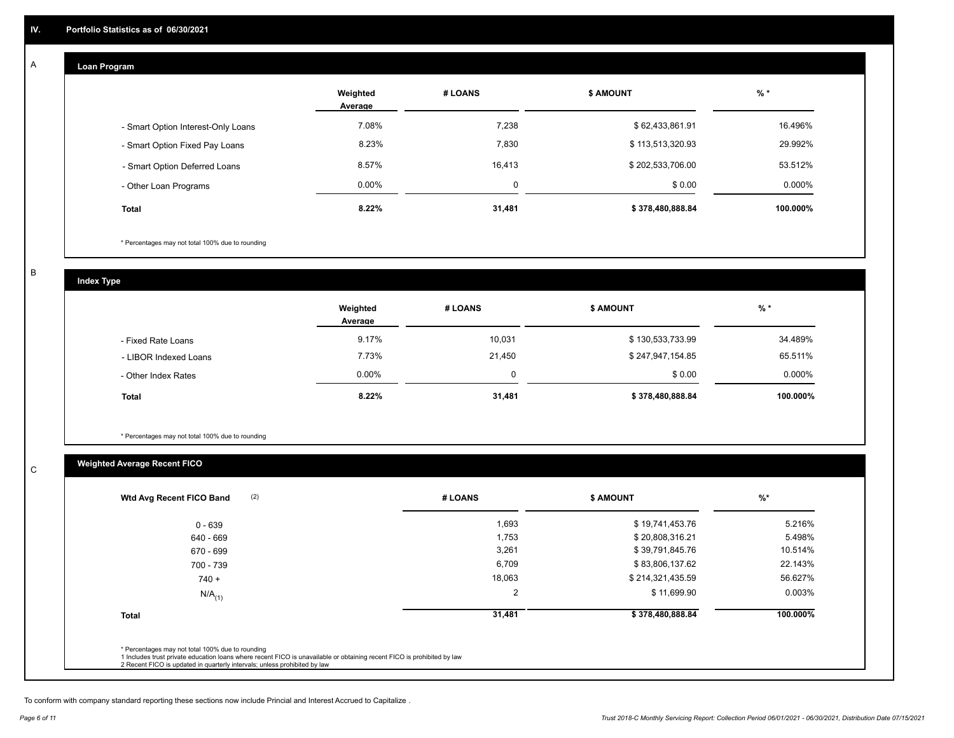#### **Loan Program**  A

|                                    | Weighted<br>Average | # LOANS  | <b>\$ AMOUNT</b> | $%$ *    |
|------------------------------------|---------------------|----------|------------------|----------|
| - Smart Option Interest-Only Loans | 7.08%               | 7,238    | \$62,433,861.91  | 16.496%  |
| - Smart Option Fixed Pay Loans     | 8.23%               | 7,830    | \$113,513,320.93 | 29.992%  |
| - Smart Option Deferred Loans      | 8.57%               | 16,413   | \$202,533,706.00 | 53.512%  |
| - Other Loan Programs              | 0.00%               | $\Omega$ | \$0.00           | 0.000%   |
| <b>Total</b>                       | 8.22%               | 31,481   | \$378,480,888.84 | 100.000% |

\* Percentages may not total 100% due to rounding

B

C

**Index Type**

|                       | Weighted<br>Average | # LOANS | <b>\$ AMOUNT</b> | % *       |
|-----------------------|---------------------|---------|------------------|-----------|
| - Fixed Rate Loans    | 9.17%               | 10,031  | \$130,533,733.99 | 34.489%   |
| - LIBOR Indexed Loans | 7.73%               | 21,450  | \$247,947,154.85 | 65.511%   |
| - Other Index Rates   | $0.00\%$            |         | \$0.00           | $0.000\%$ |
| <b>Total</b>          | 8.22%               | 31,481  | \$378,480,888.84 | 100.000%  |

\* Percentages may not total 100% due to rounding

## **Weighted Average Recent FICO**

| 1,693<br>1,753<br>3,261 | \$19,741,453.76<br>\$20,808,316.21<br>\$39,791,845.76 | 5.216%<br>5.498% |
|-------------------------|-------------------------------------------------------|------------------|
|                         |                                                       |                  |
|                         |                                                       |                  |
|                         |                                                       | 10.514%          |
| 6,709                   | \$83,806,137.62                                       | 22.143%          |
| 18,063                  | \$214,321,435.59                                      | 56.627%          |
| $\overline{2}$          | \$11,699.90                                           | 0.003%           |
| 31,481                  | \$378,480,888.84                                      | 100.000%         |
|                         |                                                       |                  |

To conform with company standard reporting these sections now include Princial and Interest Accrued to Capitalize .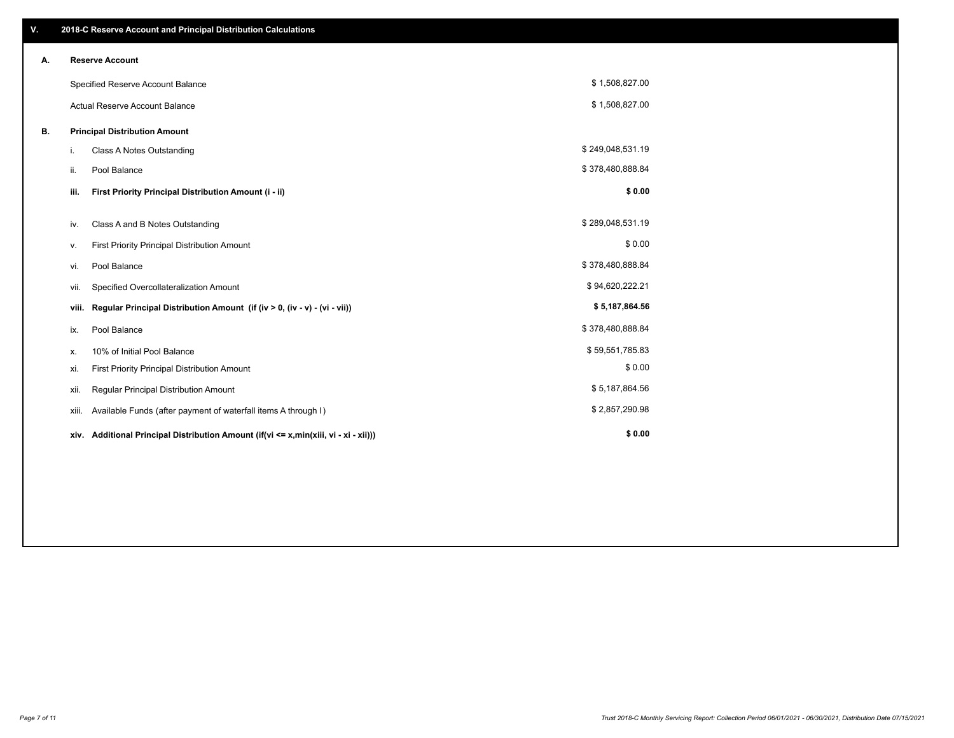| V. |       | 2018-C Reserve Account and Principal Distribution Calculations                  |                  |  |
|----|-------|---------------------------------------------------------------------------------|------------------|--|
| А. |       | <b>Reserve Account</b>                                                          |                  |  |
|    |       | Specified Reserve Account Balance                                               | \$1,508,827.00   |  |
|    |       | <b>Actual Reserve Account Balance</b>                                           | \$1,508,827.00   |  |
| В. |       | <b>Principal Distribution Amount</b>                                            |                  |  |
|    | i.    | Class A Notes Outstanding                                                       | \$249,048,531.19 |  |
|    | ii.   | Pool Balance                                                                    | \$378,480,888.84 |  |
|    | iii.  | First Priority Principal Distribution Amount (i - ii)                           | \$0.00           |  |
|    | iv.   | Class A and B Notes Outstanding                                                 | \$289,048,531.19 |  |
|    | ν.    | <b>First Priority Principal Distribution Amount</b>                             | \$0.00           |  |
|    | vi.   | Pool Balance                                                                    | \$378,480,888.84 |  |
|    | vii.  | Specified Overcollateralization Amount                                          | \$94,620,222.21  |  |
|    | viii. | Regular Principal Distribution Amount (if (iv > 0, (iv - v) - (vi - vii))       | \$5,187,864.56   |  |
|    | ix.   | Pool Balance                                                                    | \$378,480,888.84 |  |
|    | х.    | 10% of Initial Pool Balance                                                     | \$59,551,785.83  |  |
|    | xi.   | First Priority Principal Distribution Amount                                    | \$0.00           |  |
|    | xii.  | Regular Principal Distribution Amount                                           | \$5,187,864.56   |  |
|    | xiii. | Available Funds (after payment of waterfall items A through I)                  | \$2,857,290.98   |  |
|    | xiv.  | Additional Principal Distribution Amount (if(vi <= x,min(xiii, vi - xi - xii))) | \$0.00           |  |
|    |       |                                                                                 |                  |  |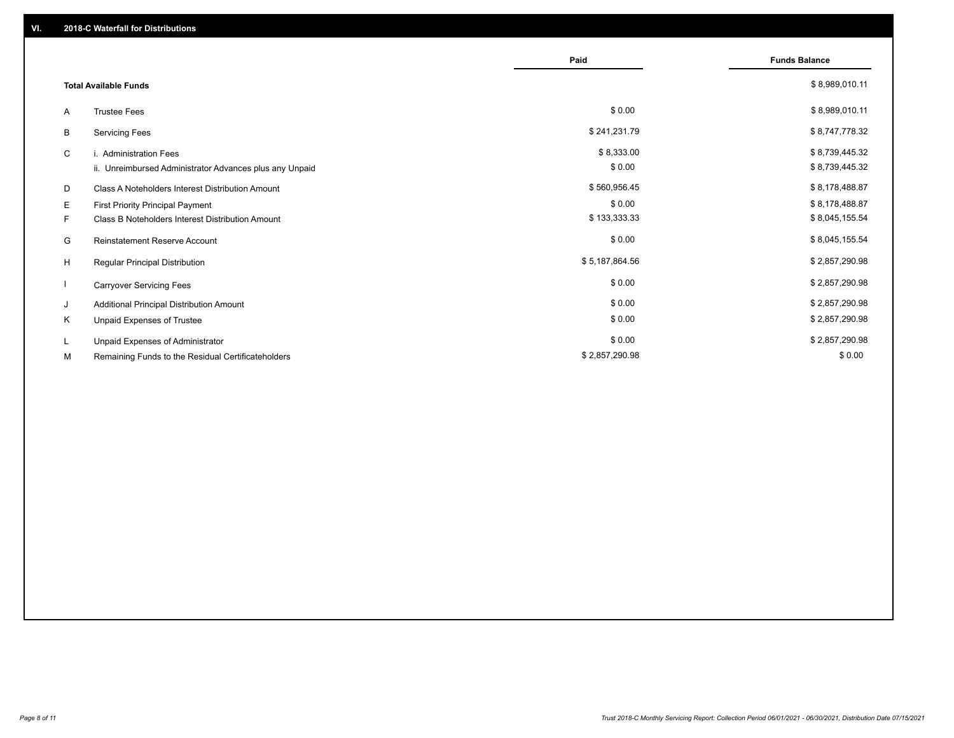|    |                                                         | Paid           | <b>Funds Balance</b> |
|----|---------------------------------------------------------|----------------|----------------------|
|    | <b>Total Available Funds</b>                            |                | \$8,989,010.11       |
| A  | <b>Trustee Fees</b>                                     | \$0.00         | \$8,989,010.11       |
| В  | <b>Servicing Fees</b>                                   | \$241,231.79   | \$8,747,778.32       |
| C  | i. Administration Fees                                  | \$8,333.00     | \$8,739,445.32       |
|    | ii. Unreimbursed Administrator Advances plus any Unpaid | \$0.00         | \$8,739,445.32       |
| D  | Class A Noteholders Interest Distribution Amount        | \$560,956.45   | \$8,178,488.87       |
| E. | First Priority Principal Payment                        | \$0.00         | \$8,178,488.87       |
| F. | Class B Noteholders Interest Distribution Amount        | \$133,333.33   | \$8,045,155.54       |
| G  | <b>Reinstatement Reserve Account</b>                    | \$0.00         | \$8,045,155.54       |
| H  | Regular Principal Distribution                          | \$5,187,864.56 | \$2,857,290.98       |
|    | <b>Carryover Servicing Fees</b>                         | \$0.00         | \$2,857,290.98       |
| J  | Additional Principal Distribution Amount                | \$0.00         | \$2,857,290.98       |
| Κ  | Unpaid Expenses of Trustee                              | \$0.00         | \$2,857,290.98       |
| L. | Unpaid Expenses of Administrator                        | \$0.00         | \$2,857,290.98       |
| М  | Remaining Funds to the Residual Certificateholders      | \$2,857,290.98 | \$0.00               |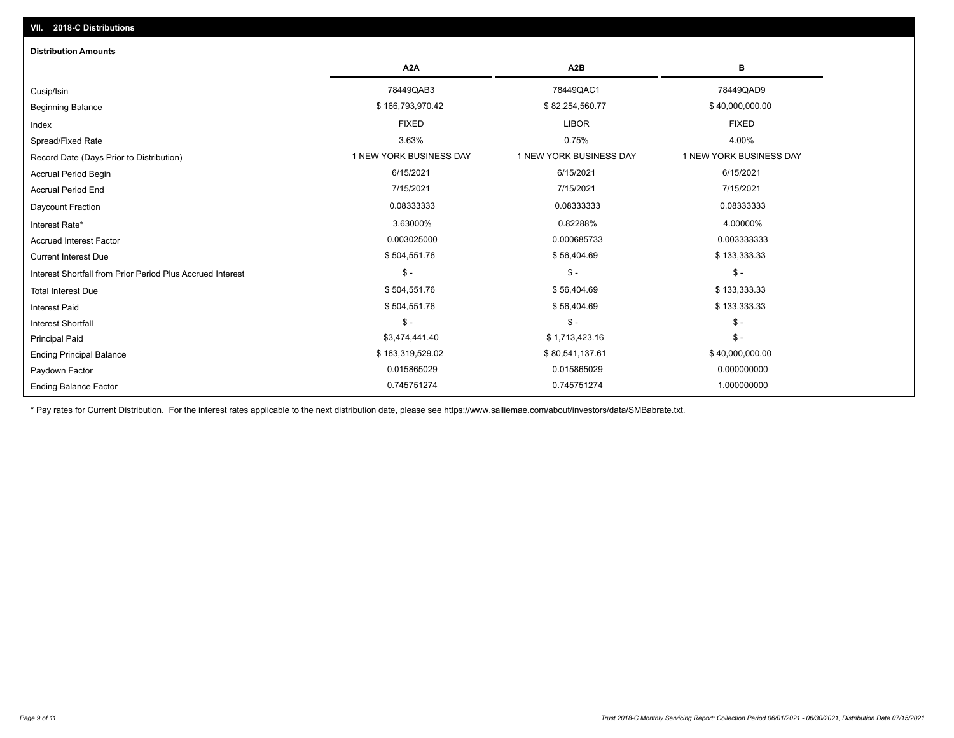| <b>Distribution Amounts</b>                                |                         |                         |                         |
|------------------------------------------------------------|-------------------------|-------------------------|-------------------------|
|                                                            | A <sub>2</sub> A        | A <sub>2</sub> B        | в                       |
| Cusip/Isin                                                 | 78449QAB3               | 78449QAC1               | 78449QAD9               |
| <b>Beginning Balance</b>                                   | \$166,793,970.42        | \$82,254,560.77         | \$40,000,000.00         |
| Index                                                      | <b>FIXED</b>            | <b>LIBOR</b>            | <b>FIXED</b>            |
| Spread/Fixed Rate                                          | 3.63%                   | 0.75%                   | 4.00%                   |
| Record Date (Days Prior to Distribution)                   | 1 NEW YORK BUSINESS DAY | 1 NEW YORK BUSINESS DAY | 1 NEW YORK BUSINESS DAY |
| <b>Accrual Period Begin</b>                                | 6/15/2021               | 6/15/2021               | 6/15/2021               |
| <b>Accrual Period End</b>                                  | 7/15/2021               | 7/15/2021               | 7/15/2021               |
| Daycount Fraction                                          | 0.08333333              | 0.08333333              | 0.08333333              |
| Interest Rate*                                             | 3.63000%                | 0.82288%                | 4.00000%                |
| <b>Accrued Interest Factor</b>                             | 0.003025000             | 0.000685733             | 0.003333333             |
| <b>Current Interest Due</b>                                | \$504,551.76            | \$56,404.69             | \$133,333.33            |
| Interest Shortfall from Prior Period Plus Accrued Interest | $\mathsf{\$}$ -         | $$ -$                   | $\mathsf{\$}$ -         |
| <b>Total Interest Due</b>                                  | \$504,551.76            | \$56,404.69             | \$133,333.33            |
| <b>Interest Paid</b>                                       | \$504,551.76            | \$56,404.69             | \$133,333.33            |
| <b>Interest Shortfall</b>                                  | $\mathsf{\$}$ -         | $$ -$                   | $\frac{1}{2}$           |
| <b>Principal Paid</b>                                      | \$3,474,441.40          | \$1,713,423.16          | $\frac{1}{2}$           |
| <b>Ending Principal Balance</b>                            | \$163,319,529.02        | \$80,541,137.61         | \$40,000,000.00         |
| Paydown Factor                                             | 0.015865029             | 0.015865029             | 0.000000000             |
| <b>Ending Balance Factor</b>                               | 0.745751274             | 0.745751274             | 1.000000000             |

\* Pay rates for Current Distribution. For the interest rates applicable to the next distribution date, please see https://www.salliemae.com/about/investors/data/SMBabrate.txt.

**VII. 2018-C Distributions**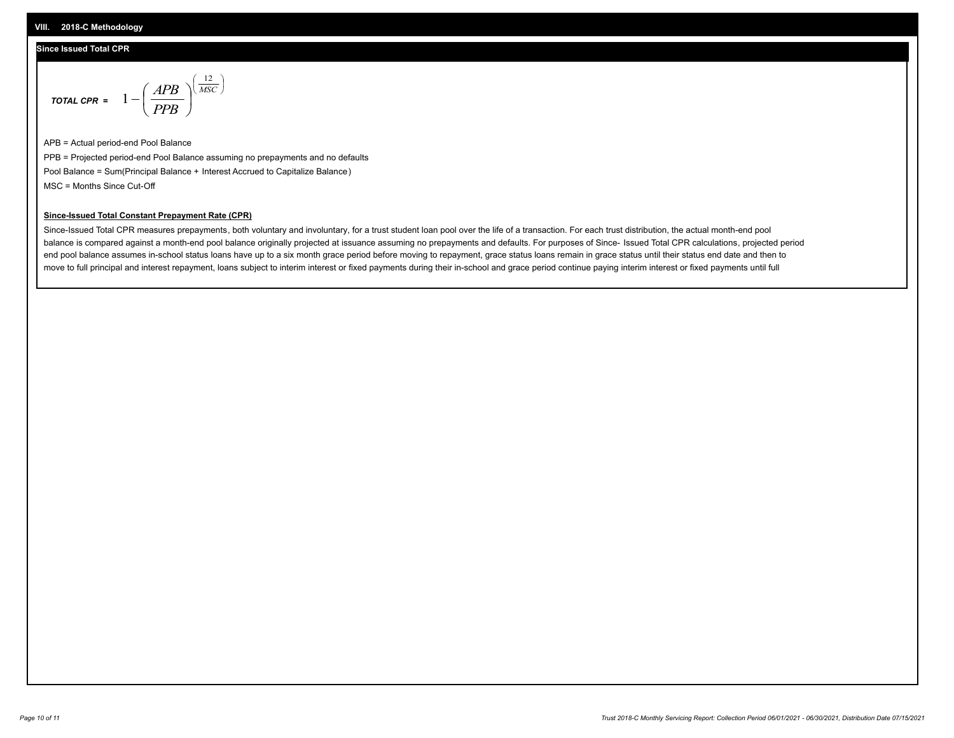#### **Since Issued Total CPR**

$$
\text{total CPR} = 1 - \left(\frac{APB}{PPB}\right)^{\left(\frac{12}{MSC}\right)}
$$

APB = Actual period-end Pool Balance PPB = Projected period-end Pool Balance assuming no prepayments and no defaults Pool Balance = Sum(Principal Balance + Interest Accrued to Capitalize Balance) MSC = Months Since Cut-Off

 $\mathsf{I}$ J λ

#### **Since-Issued Total Constant Prepayment Rate (CPR)**

Since-Issued Total CPR measures prepayments, both voluntary and involuntary, for a trust student loan pool over the life of a transaction. For each trust distribution, the actual month-end pool balance is compared against a month-end pool balance originally projected at issuance assuming no prepayments and defaults. For purposes of Since- Issued Total CPR calculations, projected period end pool balance assumes in-school status loans have up to a six month grace period before moving to repayment, grace status loans remain in grace status until their status end date and then to move to full principal and interest repayment, loans subject to interim interest or fixed payments during their in-school and grace period continue paying interim interest or fixed payments until full